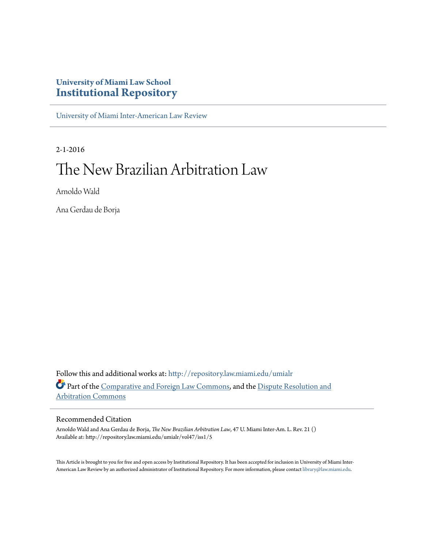## **University of Miami Law School [Institutional Repository](http://repository.law.miami.edu?utm_source=repository.law.miami.edu%2Fumialr%2Fvol47%2Fiss1%2F5&utm_medium=PDF&utm_campaign=PDFCoverPages)**

[University of Miami Inter-American Law Review](http://repository.law.miami.edu/umialr?utm_source=repository.law.miami.edu%2Fumialr%2Fvol47%2Fiss1%2F5&utm_medium=PDF&utm_campaign=PDFCoverPages)

2-1-2016

# The New Brazilian Arbitration Law

Arnoldo Wald

Ana Gerdau de Borja

Follow this and additional works at: [http://repository.law.miami.edu/umialr](http://repository.law.miami.edu/umialr?utm_source=repository.law.miami.edu%2Fumialr%2Fvol47%2Fiss1%2F5&utm_medium=PDF&utm_campaign=PDFCoverPages) Part of the [Comparative and Foreign Law Commons](http://network.bepress.com/hgg/discipline/836?utm_source=repository.law.miami.edu%2Fumialr%2Fvol47%2Fiss1%2F5&utm_medium=PDF&utm_campaign=PDFCoverPages), and the [Dispute Resolution and](http://network.bepress.com/hgg/discipline/890?utm_source=repository.law.miami.edu%2Fumialr%2Fvol47%2Fiss1%2F5&utm_medium=PDF&utm_campaign=PDFCoverPages) [Arbitration Commons](http://network.bepress.com/hgg/discipline/890?utm_source=repository.law.miami.edu%2Fumialr%2Fvol47%2Fiss1%2F5&utm_medium=PDF&utm_campaign=PDFCoverPages)

#### Recommended Citation

Arnoldo Wald and Ana Gerdau de Borja, *The New Brazilian Arbitration Law*, 47 U. Miami Inter-Am. L. Rev. 21 () Available at: http://repository.law.miami.edu/umialr/vol47/iss1/5

This Article is brought to you for free and open access by Institutional Repository. It has been accepted for inclusion in University of Miami Inter-American Law Review by an authorized administrator of Institutional Repository. For more information, please contact [library@law.miami.edu](mailto:library@law.miami.edu).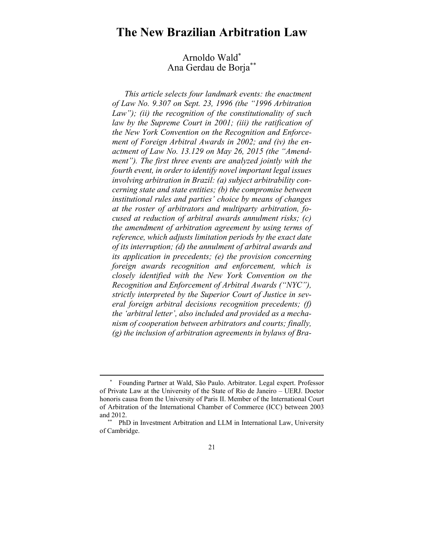## **The New Brazilian Arbitration Law**

### Arnoldo Wald\* Ana Gerdau de Borja\*\*

*This article selects four landmark events: the enactment of Law No. 9.307 on Sept. 23, 1996 (the "1996 Arbitration Law"); (ii) the recognition of the constitutionality of such law by the Supreme Court in 2001; (iii) the ratification of the New York Convention on the Recognition and Enforcement of Foreign Arbitral Awards in 2002; and (iv) the enactment of Law No. 13.129 on May 26, 2015 (the "Amendment"). The first three events are analyzed jointly with the fourth event, in order to identify novel important legal issues involving arbitration in Brazil: (a) subject arbitrability concerning state and state entities; (b) the compromise between institutional rules and parties' choice by means of changes at the roster of arbitrators and multiparty arbitration, focused at reduction of arbitral awards annulment risks; (c) the amendment of arbitration agreement by using terms of reference, which adjusts limitation periods by the exact date of its interruption; (d) the annulment of arbitral awards and its application in precedents; (e) the provision concerning foreign awards recognition and enforcement, which is closely identified with the New York Convention on the Recognition and Enforcement of Arbitral Awards ("NYC"), strictly interpreted by the Superior Court of Justice in several foreign arbitral decisions recognition precedents; (f) the 'arbitral letter', also included and provided as a mechanism of cooperation between arbitrators and courts; finally, (g) the inclusion of arbitration agreements in bylaws of Bra-*

 $\overline{a}$ 

 <sup>\*</sup> Founding Partner at Wald, São Paulo. Arbitrator. Legal expert. Professor of Private Law at the University of the State of Rio de Janeiro – UERJ. Doctor honoris causa from the University of Paris II. Member of the International Court of Arbitration of the International Chamber of Commerce (ICC) between 2003 and 2012.

 <sup>\*\*</sup> PhD in Investment Arbitration and LLM in International Law, University of Cambridge.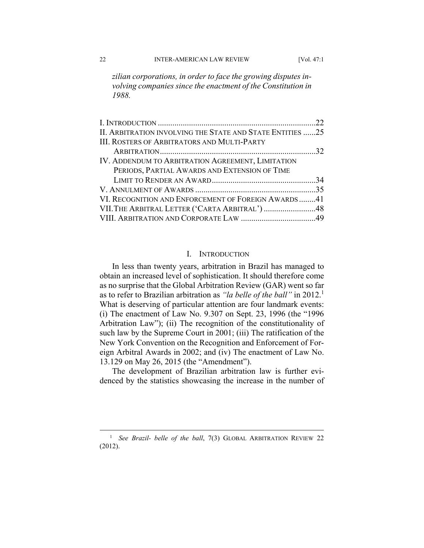*zilian corporations, in order to face the growing disputes involving companies since the enactment of the Constitution in 1988.* 

| II. ARBITRATION INVOLVING THE STATE AND STATE ENTITIES 25 |  |
|-----------------------------------------------------------|--|
| <b>III. ROSTERS OF ARBITRATORS AND MULTI-PARTY</b>        |  |
|                                                           |  |
| IV. ADDENDUM TO ARBITRATION AGREEMENT, LIMITATION         |  |
| PERIODS, PARTIAL AWARDS AND EXTENSION OF TIME             |  |
|                                                           |  |
|                                                           |  |
| VI. RECOGNITION AND ENFORCEMENT OF FOREIGN AWARDS41       |  |
| VII. THE ARBITRAL LETTER ('CARTA ARBITRAL') 48            |  |
|                                                           |  |

#### I. INTRODUCTION

In less than twenty years, arbitration in Brazil has managed to obtain an increased level of sophistication. It should therefore come as no surprise that the Global Arbitration Review (GAR) went so far as to refer to Brazilian arbitration as *"la belle of the ball"* in 2012.1 What is deserving of particular attention are four landmark events: (i) The enactment of Law No. 9.307 on Sept. 23, 1996 (the "1996 Arbitration Law"); (ii) The recognition of the constitutionality of such law by the Supreme Court in 2001; (iii) The ratification of the New York Convention on the Recognition and Enforcement of Foreign Arbitral Awards in 2002; and (iv) The enactment of Law No. 13.129 on May 26, 2015 (the "Amendment").

The development of Brazilian arbitration law is further evidenced by the statistics showcasing the increase in the number of

<sup>&</sup>lt;sup>1</sup> See Brazil- belle of the ball, 7(3) GLOBAL ARBITRATION REVIEW 22 (2012).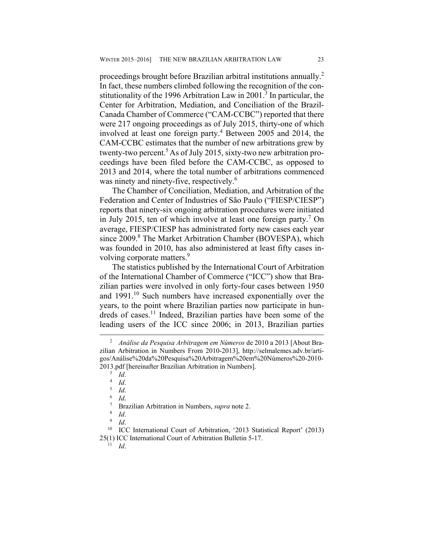proceedings brought before Brazilian arbitral institutions annually.2 In fact, these numbers climbed following the recognition of the constitutionality of the 1996 Arbitration Law in 2001.<sup>3</sup> In particular, the Center for Arbitration, Mediation, and Conciliation of the Brazil-Canada Chamber of Commerce ("CAM-CCBC") reported that there were 217 ongoing proceedings as of July 2015, thirty-one of which involved at least one foreign party.<sup>4</sup> Between 2005 and 2014, the CAM-CCBC estimates that the number of new arbitrations grew by twenty-two percent.5 As of July 2015, sixty-two new arbitration proceedings have been filed before the CAM-CCBC, as opposed to 2013 and 2014, where the total number of arbitrations commenced was ninety and ninety-five, respectively.<sup>6</sup>

The Chamber of Conciliation, Mediation, and Arbitration of the Federation and Center of Industries of São Paulo ("FIESP/CIESP") reports that ninety-six ongoing arbitration procedures were initiated in July 2015, ten of which involve at least one foreign party.7 On average, FIESP/CIESP has administrated forty new cases each year since 2009.<sup>8</sup> The Market Arbitration Chamber (BOVESPA), which was founded in 2010, has also administered at least fifty cases involving corporate matters.<sup>9</sup>

The statistics published by the International Court of Arbitration of the International Chamber of Commerce ("ICC") show that Brazilian parties were involved in only forty-four cases between 1950 and 1991.<sup>10</sup> Such numbers have increased exponentially over the years, to the point where Brazilian parties now participate in hundreds of cases.<sup>11</sup> Indeed, Brazilian parties have been some of the leading users of the ICC since 2006; in 2013, Brazilian parties

<sup>10</sup> ICC International Court of Arbitration, '2013 Statistical Report' (2013) 25(1) ICC International Court of Arbitration Bulletin 5-17. 11 *Id*.

 <sup>2</sup>  *Análise da Pesquisa Arbitragem em Números* de 2010 a 2013 [About Brazilian Arbitration in Numbers From 2010-2013], http://selmalemes.adv.br/artigos/Análise%20da%20Pesquisa%20Arbitragem%20em%20Números%20-2010- 2013.pdf [hereinafter Brazilian Arbitration in Numbers].<br> $\frac{3}{1}$  Id.

<sup>&</sup>lt;sup>3</sup> Id.<br><sup>4</sup> Id

<sup>&</sup>lt;sup>4</sup> *Id.*<br>5 *Id* 

 $\begin{array}{cc} 5 & Id. \\ 6 & Id. \end{array}$ 

 $\frac{6}{7}$  *Id.* 

Brazilian Arbitration in Numbers, *supra* note 2.

 $\int_{9}^{8}$  *Id.*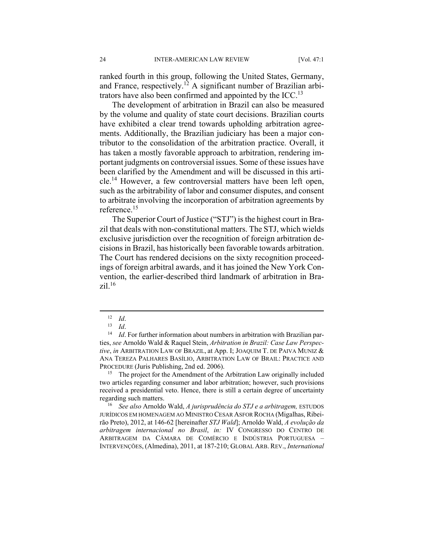ranked fourth in this group, following the United States, Germany, and France, respectively.<sup>12</sup> A significant number of Brazilian arbitrators have also been confirmed and appointed by the  $\text{ICC}.^{13}$ 

The development of arbitration in Brazil can also be measured by the volume and quality of state court decisions. Brazilian courts have exhibited a clear trend towards upholding arbitration agreements. Additionally, the Brazilian judiciary has been a major contributor to the consolidation of the arbitration practice. Overall, it has taken a mostly favorable approach to arbitration, rendering important judgments on controversial issues. Some of these issues have been clarified by the Amendment and will be discussed in this article.14 However, a few controversial matters have been left open, such as the arbitrability of labor and consumer disputes, and consent to arbitrate involving the incorporation of arbitration agreements by reference.15

The Superior Court of Justice ("STJ") is the highest court in Brazil that deals with non-constitutional matters. The STJ, which wields exclusive jurisdiction over the recognition of foreign arbitration decisions in Brazil, has historically been favorable towards arbitration. The Court has rendered decisions on the sixty recognition proceedings of foreign arbitral awards, and it has joined the New York Convention, the earlier-described third landmark of arbitration in Bra $zi$ <sup>16</sup>

two articles regarding consumer and labor arbitration; however, such provisions received a presidential veto. Hence, there is still a certain degree of uncertainty regarding such matters. 16 *See also* Arnoldo Wald, *A jurisprudência do STJ e a arbitragem,* ESTUDOS

JURÍDICOS EM HOMENAGEM AO MINISTRO CESAR ASFOR ROCHA (Migalhas, Ribeirão Preto), 2012, at 146-62 [hereinafter *STJ Wald*]; Arnoldo Wald, *A evolução da arbitragem internacional no Brasil*, *in:* IV CONGRESSO DO CENTRO DE ARBITRAGEM DA CÂMARA DE COMÉRCIO E INDÚSTRIA PORTUGUESA – INTERVENÇÕES, (Almedina), 2011, at 187-210; GLOBAL ARB. REV., *International* 

<sup>12</sup> *Id.*<br><sup>13</sup> *Id.* 14 *Id.* For further information about numbers in arbitration with Brazilian parties, *see* Arnoldo Wald & Raquel Stein, *Arbitration in Brazil: Case Law Perspective*, *in* ARBITRATION LAW OF BRAZIL, at App. I; JOAQUIM T. DE PAIVA MUNIZ & ANA TEREZA PALHARES BASÍLIO, ARBITRATION LAW OF BRAIL: PRACTICE AND PROCEDURE (Juris Publishing, 2nd ed. 2006).<br><sup>15</sup> The project for the Amendment of the Arbitration Law originally included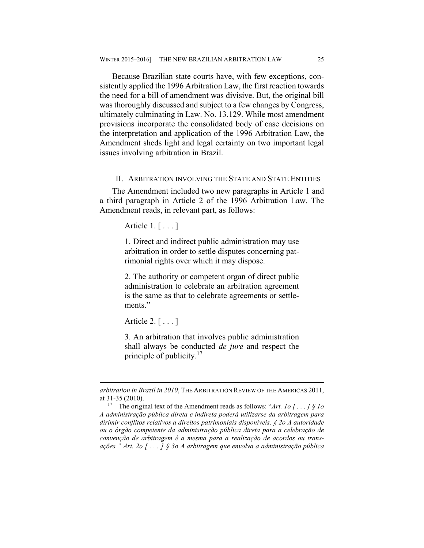Because Brazilian state courts have, with few exceptions, consistently applied the 1996 Arbitration Law, the first reaction towards the need for a bill of amendment was divisive. But, the original bill was thoroughly discussed and subject to a few changes by Congress, ultimately culminating in Law. No. 13.129. While most amendment provisions incorporate the consolidated body of case decisions on the interpretation and application of the 1996 Arbitration Law, the Amendment sheds light and legal certainty on two important legal issues involving arbitration in Brazil.

#### II. ARBITRATION INVOLVING THE STATE AND STATE ENTITIES

The Amendment included two new paragraphs in Article 1 and a third paragraph in Article 2 of the 1996 Arbitration Law. The Amendment reads, in relevant part, as follows:

Article 1. [ . . . ]

1. Direct and indirect public administration may use arbitration in order to settle disputes concerning patrimonial rights over which it may dispose.

2. The authority or competent organ of direct public administration to celebrate an arbitration agreement is the same as that to celebrate agreements or settlements."

Article 2. [ . . . ]

<u>.</u>

3. An arbitration that involves public administration shall always be conducted *de jure* and respect the principle of publicity.<sup>17</sup>

*arbitration in Brazil in 2010*, THE ARBITRATION REVIEW OF THE AMERICAS 2011, at 31-35 (2010).<br><sup>17</sup> The original text of the Amendment reads as follows: "*Art. 1o*  $\int$ ...  $\int$  *§ 1o* 

*A administração pública direta e indireta poderá utilizarse da arbitragem para dirimir conflitos relativos a direitos patrimoniais disponíveis. § 2o A autoridade ou o órgão competente da administração pública direta para a celebração de convenção de arbitragem é a mesma para a realização de acordos ou transações." Art. 2o [ . . . ] § 3o A arbitragem que envolva a administração pública*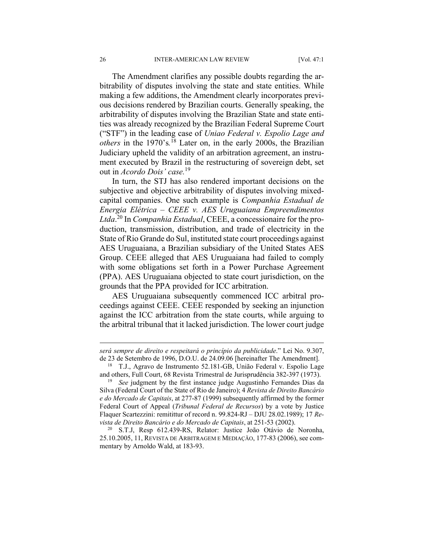The Amendment clarifies any possible doubts regarding the arbitrability of disputes involving the state and state entities. While making a few additions, the Amendment clearly incorporates previous decisions rendered by Brazilian courts. Generally speaking, the arbitrability of disputes involving the Brazilian State and state entities was already recognized by the Brazilian Federal Supreme Court ("STF") in the leading case of *Uniao Federal v. Espolio Lage and others* in the 1970's*.* 18 Later on, in the early 2000s, the Brazilian Judiciary upheld the validity of an arbitration agreement, an instrument executed by Brazil in the restructuring of sovereign debt, set out in *Acordo Dois' case.*<sup>19</sup>

In turn, the STJ has also rendered important decisions on the subjective and objective arbitrability of disputes involving mixedcapital companies. One such example is *Companhia Estadual de Energia Elétrica – CEEE v. AES Uruguaiana Empreendimentos Ltda*. 20 In *Companhia Estadual*, CEEE, a concessionaire for the production, transmission, distribution, and trade of electricity in the State of Rio Grande do Sul, instituted state court proceedings against AES Uruguaiana, a Brazilian subsidiary of the United States AES Group. CEEE alleged that AES Uruguaiana had failed to comply with some obligations set forth in a Power Purchase Agreement (PPA). AES Uruguaiana objected to state court jurisdiction, on the grounds that the PPA provided for ICC arbitration.

AES Uruguaiana subsequently commenced ICC arbitral proceedings against CEEE. CEEE responded by seeking an injunction against the ICC arbitration from the state courts, while arguing to the arbitral tribunal that it lacked jurisdiction. The lower court judge

1

*será sempre de direito e respeitará o princípio da publicidade*." Lei No. 9.307, de 23 de Setembro de 1996, D.O.U. de 24.09.06 [hereinafter The Amendment]. 18 T.J., Agravo de Instrumento 52.181-GB, União Federal v. Espolio Lage

and others, Full Court, 68 Revista Trimestral de Jurisprudência 382-397 (1973). 19 *See* judgment by the first instance judge Augustinho Fernandes Dias da

Silva (Federal Court of the State of Rio de Janeiro); 4 *Revista de Direito Bancário e do Mercado de Capitais*, at 277-87 (1999) subsequently affirmed by the former Federal Court of Appeal (*Tribunal Federal de Recursos*) by a vote by Justice Flaquer Scartezzini: remitittur of record n. 99.824-RJ – DJU 28.02.1989); 17 *Revista de Direito Bancário e do Mercado de Capitais*, at 251-53 (2002). 20 S.T.J, Resp 612.439-RS, Relator: Justice João Otávio de Noronha,

<sup>25.10.2005, 11,</sup> REVISTA DE ARBITRAGEM E MEDIAÇÃO, 177-83 (2006), see commentary by Arnoldo Wald, at 183-93.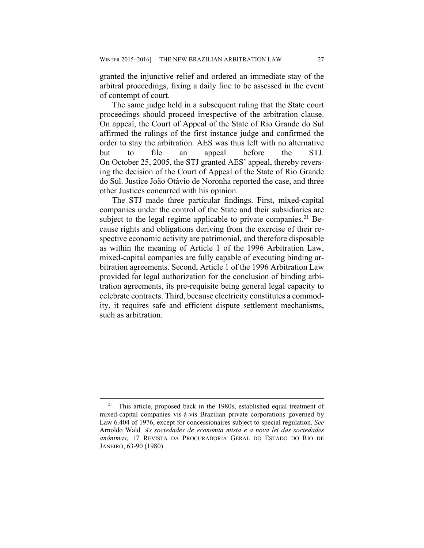granted the injunctive relief and ordered an immediate stay of the arbitral proceedings, fixing a daily fine to be assessed in the event of contempt of court.

The same judge held in a subsequent ruling that the State court proceedings should proceed irrespective of the arbitration clause. On appeal, the Court of Appeal of the State of Rio Grande do Sul affirmed the rulings of the first instance judge and confirmed the order to stay the arbitration. AES was thus left with no alternative but to file an appeal before the STJ. On October 25, 2005, the STJ granted AES' appeal, thereby reversing the decision of the Court of Appeal of the State of Rio Grande do Sul. Justice João Otávio de Noronha reported the case, and three other Justices concurred with his opinion.

The STJ made three particular findings. First, mixed-capital companies under the control of the State and their subsidiaries are subject to the legal regime applicable to private companies.<sup>21</sup> Because rights and obligations deriving from the exercise of their respective economic activity are patrimonial, and therefore disposable as within the meaning of Article 1 of the 1996 Arbitration Law, mixed-capital companies are fully capable of executing binding arbitration agreements. Second, Article 1 of the 1996 Arbitration Law provided for legal authorization for the conclusion of binding arbitration agreements, its pre-requisite being general legal capacity to celebrate contracts. Third, because electricity constitutes a commodity, it requires safe and efficient dispute settlement mechanisms, such as arbitration.

 $21$  This article, proposed back in the 1980s, established equal treatment of mixed-capital companies vis-à-vis Brazilian private corporations governed by Law 6.404 of 1976, except for concessionaires subject to special regulation. *See*  Arnoldo Wald*, As sociedades de economia mista e a nova lei das sociedades anônimas*, 17 REVISTA DA PROCURADORIA GERAL DO ESTADO DO RIO DE JANEIRO, 63-90 (1980)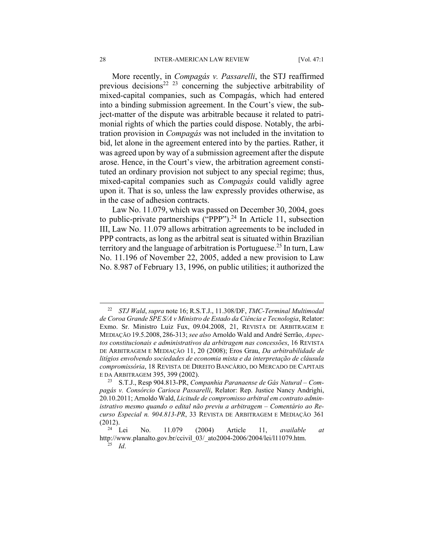More recently, in *Compagás v. Passarelli*, the STJ reaffirmed previous decisions<sup>22 23</sup> concerning the subjective arbitrability of mixed-capital companies, such as Compagás, which had entered into a binding submission agreement. In the Court's view, the subject-matter of the dispute was arbitrable because it related to patrimonial rights of which the parties could dispose. Notably, the arbitration provision in *Compagás* was not included in the invitation to bid, let alone in the agreement entered into by the parties. Rather, it was agreed upon by way of a submission agreement after the dispute arose. Hence, in the Court's view, the arbitration agreement constituted an ordinary provision not subject to any special regime; thus, mixed-capital companies such as *Compagás* could validly agree upon it. That is so, unless the law expressly provides otherwise, as in the case of adhesion contracts.

Law No. 11.079, which was passed on December 30, 2004, goes to public-private partnerships ("PPP").<sup>24</sup> In Article 11, subsection III, Law No. 11.079 allows arbitration agreements to be included in PPP contracts, as long as the arbitral seat is situated within Brazilian territory and the language of arbitration is Portuguese.<sup>25</sup> In turn, Law No. 11.196 of November 22, 2005, added a new provision to Law No. 8.987 of February 13, 1996, on public utilities; it authorized the

 <sup>22</sup> *STJ Wald*, *supra* note 16; R.S.T.J., 11.308/DF, *TMC-Terminal Multimodal de Coroa Grande SPE S/A v Ministro de Estado da Ciência e Tecnologia*, Relator: Exmo. Sr. Ministro Luiz Fux, 09.04.2008, 21, REVISTA DE ARBITRAGEM E MEDIAÇÃO 19.5.2008, 286-313; *see also* Arnoldo Wald and André Serrão, *Aspectos constitucionais e administrativos da arbitragem nas concessões*, 16 REVISTA DE ARBITRAGEM E MEDIAÇÃO 11, 20 (2008); Eros Grau, *Da arbitrabilidade de litígios envolvendo sociedades de economia mista e da interpretação de cláusula compromissória*, 18 REVISTA DE DIREITO BANCÁRIO, DO MERCADO DE CAPITAIS E DA ARBITRAGEM 395, 399 (2002). 23 S.T.J., Resp 904.813-PR, *Companhia Paranaense de Gás Natural – Com-*

*pagás v. Consórcio Carioca Passarelli*, Relator: Rep. Justice Nancy Andrighi, 20.10.2011; Arnoldo Wald, *Licitude de compromisso arbitral em contrato administrativo mesmo quando o edital não previu a arbitragem – Comentário ao Recurso Especial n. 904.813-PR*, 33 REVISTA DE ARBITRAGEM E MEDIAÇÃO 361

<sup>(2012). 24</sup> Lei No. 11.079 (2004) Article 11, *available at*  http://www.planalto.gov.br/ccivil\_03/\_ato2004-2006/2004/lei/l11079.htm. 25 *Id*.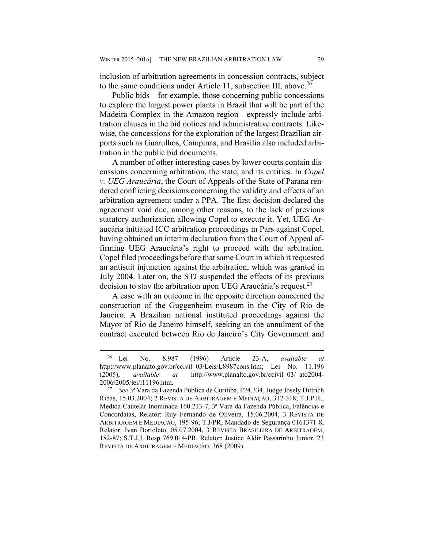inclusion of arbitration agreements in concession contracts, subject to the same conditions under Article 11, subsection III, above.<sup>26</sup>

Public bids—for example, those concerning public concessions to explore the largest power plants in Brazil that will be part of the Madeira Complex in the Amazon region—expressly include arbitration clauses in the bid notices and administrative contracts. Likewise, the concessions for the exploration of the largest Brazilian airports such as Guarulhos, Campinas, and Brasília also included arbitration in the public bid documents.

A number of other interesting cases by lower courts contain discussions concerning arbitration, the state, and its entities. In *Copel v. UEG Araucária*, the Court of Appeals of the State of Parana rendered conflicting decisions concerning the validity and effects of an arbitration agreement under a PPA. The first decision declared the agreement void due, among other reasons, to the lack of previous statutory authorization allowing Copel to execute it. Yet, UEG Araucária initiated ICC arbitration proceedings in Pars against Copel, having obtained an interim declaration from the Court of Appeal affirming UEG Araucária's right to proceed with the arbitration. Copel filed proceedings before that same Court in which it requested an antisuit injunction against the arbitration, which was granted in July 2004. Later on, the STJ suspended the effects of its previous decision to stay the arbitration upon UEG Araucária's request.<sup>27</sup>

A case with an outcome in the opposite direction concerned the construction of the Guggenheim museum in the City of Rio de Janeiro. A Brazilian national instituted proceedings against the Mayor of Rio de Janeiro himself, seeking an the annulment of the contract executed between Rio de Janeiro's City Government and

 <sup>26</sup> Lei No. 8.987 (1996) Article 23-A, *available at*  http://www.planalto.gov.br/ccivil\_03/Leis/L8987cons.htm; Lei No. 11.196 (2005), *available at* http://www.planalto.gov.br/ccivil\_03/\_ato2004-

<sup>2006/2005/</sup>lei/l11196.htm. 27 *See* 3ª Vara da Fazenda Pública de Curitiba, P24.334, Judge Josely Dittrich Ribas, 15.03.2004; 2 REVISTA DE ARBITRAGEM E MEDIAÇÃO, 312-318; T.J.P.R., Medida Cautelar Inominada 160.213-7, 3ª Vara da Fazenda Pública, Falências e Concordatas, Relator: Ruy Fernando de Oliveira, 15.06.2004, 3 REVISTA DE ARBITRAGEM E MEDIAÇÃO, 195-96; T.J/PR, Mandado de Segurança 0161371-8, Relator: Ivan Bortoleto, 05.07.2004, 3 REVISTA BRASILEIRA DE ARBITRAGEM, 182-87; S.T.J.J. Resp 769.014-PR, Relator: Justice Aldir Passarinho Junior, 23 REVISTA DE ARBITRAGEM E MEDIAÇÃO, 368 (2009).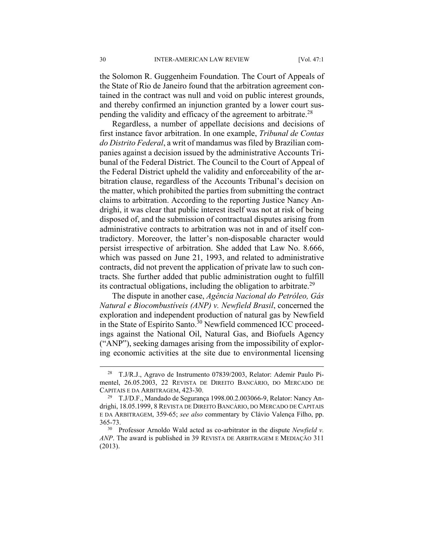the Solomon R. Guggenheim Foundation. The Court of Appeals of the State of Rio de Janeiro found that the arbitration agreement contained in the contract was null and void on public interest grounds, and thereby confirmed an injunction granted by a lower court suspending the validity and efficacy of the agreement to arbitrate.<sup>28</sup>

Regardless, a number of appellate decisions and decisions of first instance favor arbitration. In one example, *Tribunal de Contas do Distrito Federal*, a writ of mandamus was filed by Brazilian companies against a decision issued by the administrative Accounts Tribunal of the Federal District. The Council to the Court of Appeal of the Federal District upheld the validity and enforceability of the arbitration clause, regardless of the Accounts Tribunal's decision on the matter, which prohibited the parties from submitting the contract claims to arbitration. According to the reporting Justice Nancy Andrighi, it was clear that public interest itself was not at risk of being disposed of, and the submission of contractual disputes arising from administrative contracts to arbitration was not in and of itself contradictory. Moreover, the latter's non-disposable character would persist irrespective of arbitration. She added that Law No. 8.666, which was passed on June 21, 1993, and related to administrative contracts, did not prevent the application of private law to such contracts. She further added that public administration ought to fulfill its contractual obligations, including the obligation to arbitrate.<sup>29</sup>

The dispute in another case, *Agência Nacional do Petróleo, Gás Natural e Biocombustíveis (ANP) v. Newfield Brasil*, concerned the exploration and independent production of natural gas by Newfield in the State of Espírito Santo.<sup>30</sup> Newfield commenced ICC proceedings against the National Oil, Natural Gas, and Biofuels Agency ("ANP"), seeking damages arising from the impossibility of exploring economic activities at the site due to environmental licensing

 <sup>28</sup> T.J/R.J., Agravo de Instrumento 07839/2003, Relator: Ademir Paulo Pimentel, 26.05.2003, 22 REVISTA DE DIREITO BANCÁRIO, DO MERCADO DE CAPITAIS E DA ARBITRAGEM, 423-30.<br><sup>29</sup> T.J/D.F., Mandado de Segurança 1998.00.2.003066-9, Relator: Nancy An-

drighi, 18.05.1999, 8 REVISTA DE DIREITO BANCÁRIO, DO MERCADO DE CAPITAIS E DA ARBITRAGEM, 359-65; *see also* commentary by Clávio Valença Filho, pp.

<sup>365-73. 30</sup> Professor Arnoldo Wald acted as co-arbitrator in the dispute *Newfield v. ANP*. The award is published in 39 REVISTA DE ARBITRAGEM E MEDIAÇÃO 311 (2013).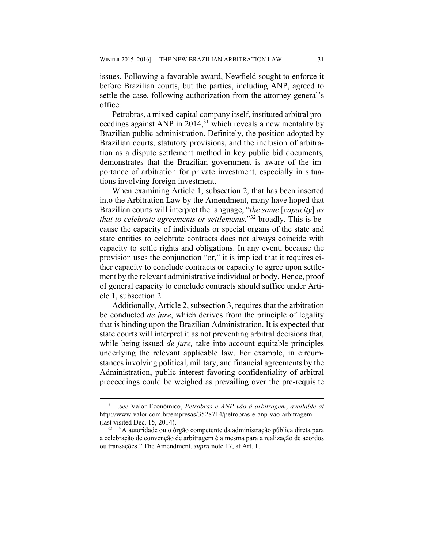issues. Following a favorable award, Newfield sought to enforce it before Brazilian courts, but the parties, including ANP, agreed to settle the case, following authorization from the attorney general's office.

Petrobras, a mixed-capital company itself, instituted arbitral proceedings against ANP in 2014,<sup>31</sup> which reveals a new mentality by Brazilian public administration. Definitely, the position adopted by Brazilian courts, statutory provisions, and the inclusion of arbitration as a dispute settlement method in key public bid documents, demonstrates that the Brazilian government is aware of the importance of arbitration for private investment, especially in situations involving foreign investment.

When examining Article 1, subsection 2, that has been inserted into the Arbitration Law by the Amendment, many have hoped that Brazilian courts will interpret the language, "*the same* [*capacity*] *as that to celebrate agreements or settlements,*"32 broadly. This is because the capacity of individuals or special organs of the state and state entities to celebrate contracts does not always coincide with capacity to settle rights and obligations. In any event, because the provision uses the conjunction "or," it is implied that it requires either capacity to conclude contracts or capacity to agree upon settlement by the relevant administrative individual or body. Hence, proof of general capacity to conclude contracts should suffice under Article 1, subsection 2.

Additionally, Article 2, subsection 3, requires that the arbitration be conducted *de jure*, which derives from the principle of legality that is binding upon the Brazilian Administration. It is expected that state courts will interpret it as not preventing arbitral decisions that, while being issued *de jure,* take into account equitable principles underlying the relevant applicable law. For example, in circumstances involving political, military, and financial agreements by the Administration, public interest favoring confidentiality of arbitral proceedings could be weighed as prevailing over the pre-requisite

 <sup>31</sup> *See* Valor Econômico, *Petrobras e ANP vão à arbitragem*, *available at* http://www.valor.com.br/empresas/3528714/petrobras-e-anp-vao-arbitragem (last visited Dec. 15, 2014). 32 "A autoridade ou o órgão competente da administração pública direta para

a celebração de convenção de arbitragem é a mesma para a realização de acordos ou transações." The Amendment, *supra* note 17, at Art. 1.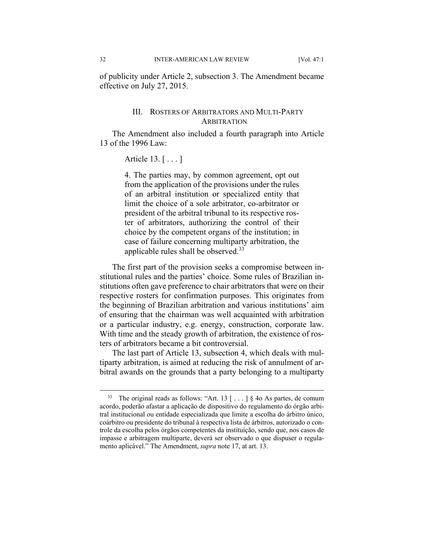of publicity under Article 2, subsection 3. The Amendment became effective on July 27, 2015.

#### III. ROSTERS OF ARBITRATORS AND MULTI-PARTY **ARBITRATION**

The Amendment also included a fourth paragraph into Article 13 of the 1996 Law:

#### Article 13. [ . . . ]

4. The parties may, by common agreement, opt out from the application of the provisions under the rules of an arbitral institution or specialized entity that limit the choice of a sole arbitrator, co-arbitrator or president of the arbitral tribunal to its respective roster of arbitrators, authorizing the control of their choice by the competent organs of the institution; in case of failure concerning multiparty arbitration, the applicable rules shall be observed.33

The first part of the provision seeks a compromise between institutional rules and the parties' choice. Some rules of Brazilian institutions often gave preference to chair arbitrators that were on their respective rosters for confirmation purposes. This originates from the beginning of Brazilian arbitration and various institutions' aim of ensuring that the chairman was well acquainted with arbitration or a particular industry, e.g. energy, construction, corporate law. With time and the steady growth of arbitration, the existence of rosters of arbitrators became a bit controversial.

The last part of Article 13, subsection 4, which deals with multiparty arbitration, is aimed at reducing the risk of annulment of arbitral awards on the grounds that a party belonging to a multiparty

<sup>&</sup>lt;sup>33</sup> The original reads as follows: "Art. 13  $[ \dots ]$  § 40 As partes, de comum acordo, poderão afastar a aplicação de dispositivo do regulamento do órgão arbitral institucional ou entidade especializada que limite a escolha do árbitro único, coárbitro ou presidente do tribunal à respectiva lista de árbitros, autorizado o controle da escolha pelos órgãos competentes da instituição, sendo que, nos casos de impasse e arbitragem multiparte, deverá ser observado o que dispuser o regulamento aplicável." The Amendment, *supra* note 17, at art. 13.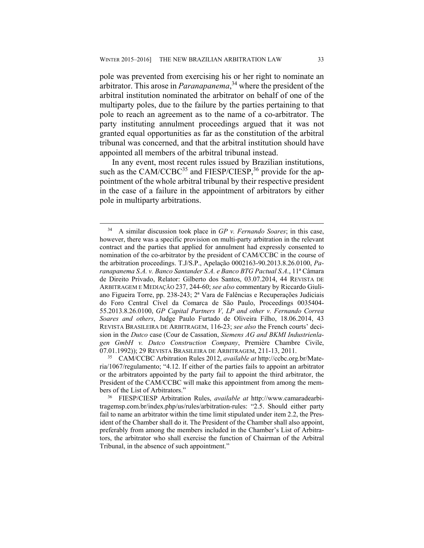pole was prevented from exercising his or her right to nominate an arbitrator. This arose in *Paranapanema*, 34 where the president of the arbitral institution nominated the arbitrator on behalf of one of the multiparty poles, due to the failure by the parties pertaining to that pole to reach an agreement as to the name of a co-arbitrator. The party instituting annulment proceedings argued that it was not granted equal opportunities as far as the constitution of the arbitral tribunal was concerned, and that the arbitral institution should have appointed all members of the arbitral tribunal instead.

In any event, most recent rules issued by Brazilian institutions, such as the CAM/CCBC<sup>35</sup> and FIESP/CIESP,<sup>36</sup> provide for the appointment of the whole arbitral tribunal by their respective president in the case of a failure in the appointment of arbitrators by either pole in multiparty arbitrations.

 <sup>34</sup> A similar discussion took place in *GP v. Fernando Soares*; in this case, however, there was a specific provision on multi-party arbitration in the relevant contract and the parties that applied for annulment had expressly consented to nomination of the co-arbitrator by the president of CAM/CCBC in the course of the arbitration proceedings. T.J/S.P., Apelação 0002163-90.2013.8.26.0100, *Paranapanema S.A. v. Banco Santander S.A. e Banco BTG Pactual S.A.*, 11ª Câmara de Direito Privado, Relator: Gilberto dos Santos, 03.07.2014, 44 REVISTA DE ARBITRAGEM E MEDIAÇÃO 237, 244-60; *see also* commentary by Riccardo Giuliano Figueira Torre, pp. 238-243; 2ª Vara de Falências e Recuperações Judiciais do Foro Central Cível da Comarca de São Paulo, Proceedings 0035404- 55.2013.8.26.0100, *GP Capital Partners V, LP and other v. Fernando Correa Soares and others*, Judge Paulo Furtado de Oliveira Filho, 18.06.2014, 43 REVISTA BRASILEIRA DE ARBITRAGEM, 116-23; *see also* the French courts' decision in the *Dutco* case (Cour de Cassation, *Siemens AG and BKMI Industrienlagen GmbH v. Dutco Construction Company*, Première Chambre Civile, 07.01.1992)); 29 REVISTA BRASILEIRA DE ARBITRAGEM, 211-13, 2011. 35 CAM/CCBC Arbitration Rules 2012, *available at* http://ccbc.org.br/Mate-

ria/1067/regulamento; "4.12. If either of the parties fails to appoint an arbitrator or the arbitrators appointed by the party fail to appoint the third arbitrator, the President of the CAM/CCBC will make this appointment from among the members of the List of Arbitrators." 36 FIESP/CIESP Arbitration Rules, *available at* http://www.camaradearbi-

tragemsp.com.br/index.php/us/rules/arbitration-rules: "2.5. Should either party fail to name an arbitrator within the time limit stipulated under item 2.2, the President of the Chamber shall do it. The President of the Chamber shall also appoint, preferably from among the members included in the Chamber's List of Arbitrators, the arbitrator who shall exercise the function of Chairman of the Arbitral Tribunal, in the absence of such appointment."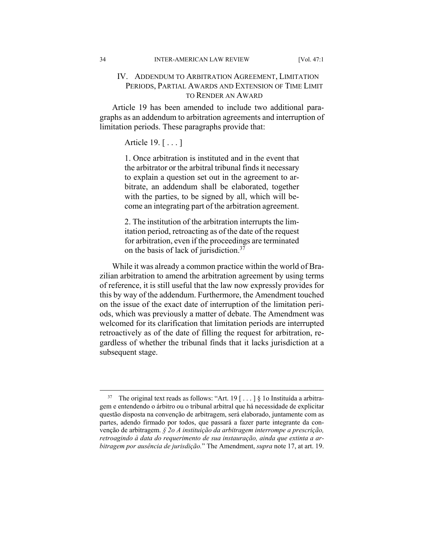#### IV. ADDENDUM TO ARBITRATION AGREEMENT, LIMITATION PERIODS, PARTIAL AWARDS AND EXTENSION OF TIME LIMIT TO RENDER AN AWARD

Article 19 has been amended to include two additional paragraphs as an addendum to arbitration agreements and interruption of limitation periods. These paragraphs provide that:

Article 19. [ . . . ]

1. Once arbitration is instituted and in the event that the arbitrator or the arbitral tribunal finds it necessary to explain a question set out in the agreement to arbitrate, an addendum shall be elaborated, together with the parties, to be signed by all, which will become an integrating part of the arbitration agreement.

2. The institution of the arbitration interrupts the limitation period, retroacting as of the date of the request for arbitration, even if the proceedings are terminated on the basis of lack of jurisdiction.37

While it was already a common practice within the world of Brazilian arbitration to amend the arbitration agreement by using terms of reference, it is still useful that the law now expressly provides for this by way of the addendum. Furthermore, the Amendment touched on the issue of the exact date of interruption of the limitation periods, which was previously a matter of debate. The Amendment was welcomed for its clarification that limitation periods are interrupted retroactively as of the date of filling the request for arbitration, regardless of whether the tribunal finds that it lacks jurisdiction at a subsequent stage.

<sup>&</sup>lt;sup>37</sup> The original text reads as follows: "Art. 19 [...] § 1o Instituída a arbitragem e entendendo o árbitro ou o tribunal arbitral que há necessidade de explicitar questão disposta na convenção de arbitragem, será elaborado, juntamente com as partes, adendo firmado por todos, que passará a fazer parte integrante da convenção de arbitragem. *§ 2o A instituição da arbitragem interrompe a prescrição, retroagindo à data do requerimento de sua instauração, ainda que extinta a arbitragem por ausência de jurisdição.*" The Amendment, *supra* note 17, at art. 19.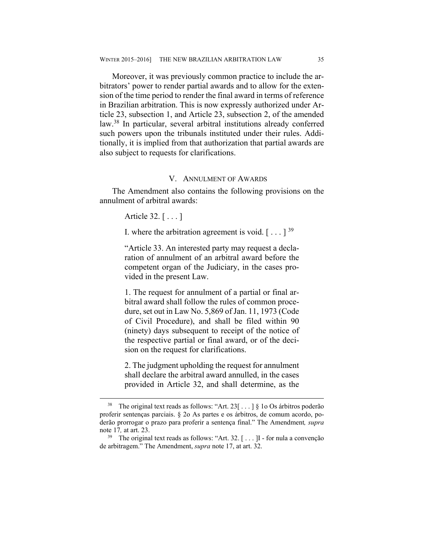Moreover, it was previously common practice to include the arbitrators' power to render partial awards and to allow for the extension of the time period to render the final award in terms of reference in Brazilian arbitration. This is now expressly authorized under Article 23, subsection 1, and Article 23, subsection 2, of the amended law.38 In particular, several arbitral institutions already conferred such powers upon the tribunals instituted under their rules. Additionally, it is implied from that authorization that partial awards are also subject to requests for clarifications.

#### V. ANNULMENT OF AWARDS

The Amendment also contains the following provisions on the annulment of arbitral awards:

Article 32. [ . . . ]

I. where the arbitration agreement is void.  $[\ldots]^{39}$ 

"Article 33. An interested party may request a declaration of annulment of an arbitral award before the competent organ of the Judiciary, in the cases provided in the present Law.

1. The request for annulment of a partial or final arbitral award shall follow the rules of common procedure, set out in Law No. 5,869 of Jan. 11, 1973 (Code of Civil Procedure), and shall be filed within 90 (ninety) days subsequent to receipt of the notice of the respective partial or final award, or of the decision on the request for clarifications.

2. The judgment upholding the request for annulment shall declare the arbitral award annulled, in the cases provided in Article 32, and shall determine, as the

<sup>&</sup>lt;sup>38</sup> The original text reads as follows: "Art. 23 $\lceil \ldots \rceil$  § 10 Os árbitros poderão proferir sentenças parciais. § 2o As partes e os árbitros, de comum acordo, poderão prorrogar o prazo para proferir a sentença final." The Amendment*, supra*  note 17, at art. 23.<br><sup>39</sup> The original text reads as follows: "Art. 32. [...] I - for nula a convenção

de arbitragem." The Amendment, *supra* note 17, at art. 32.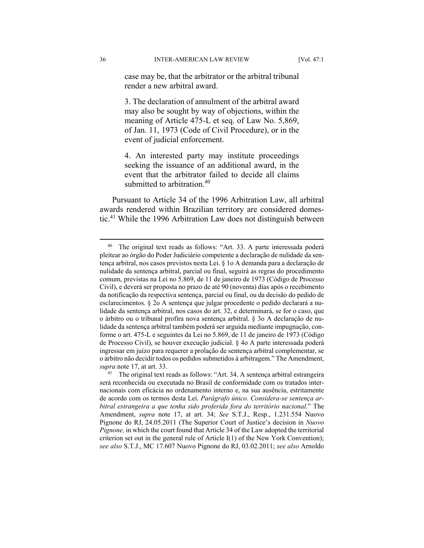case may be, that the arbitrator or the arbitral tribunal render a new arbitral award.

3. The declaration of annulment of the arbitral award may also be sought by way of objections, within the meaning of Article 475-L et seq. of Law No. 5,869, of Jan. 11, 1973 (Code of Civil Procedure), or in the event of judicial enforcement.

4. An interested party may institute proceedings seeking the issuance of an additional award, in the event that the arbitrator failed to decide all claims submitted to arbitration.<sup>40</sup>

Pursuant to Article 34 of the 1996 Arbitration Law, all arbitral awards rendered within Brazilian territory are considered domestic.41 While the 1996 Arbitration Law does not distinguish between

<sup>&</sup>lt;sup>40</sup> The original text reads as follows: "Art. 33. A parte interessada poderá pleitear ao órgão do Poder Judiciário competente a declaração de nulidade da sentença arbitral, nos casos previstos nesta Lei. § 1o A demanda para a declaração de nulidade da sentença arbitral, parcial ou final, seguirá as regras do procedimento comum, previstas na Lei no 5.869, de 11 de janeiro de 1973 (Código de Processo Civil), e deverá ser proposta no prazo de até 90 (noventa) dias após o recebimento da notificação da respectiva sentença, parcial ou final, ou da decisão do pedido de esclarecimentos. § 2o A sentença que julgar procedente o pedido declarará a nulidade da sentença arbitral, nos casos do art. 32, e determinará, se for o caso, que o árbitro ou o tribunal profira nova sentença arbitral. § 3o A declaração de nulidade da sentença arbitral também poderá ser arguida mediante impugnação, conforme o art. 475-L e seguintes da Lei no 5.869, de 11 de janeiro de 1973 (Código de Processo Civil), se houver execução judicial. § 4o A parte interessada poderá ingressar em juízo para requerer a prolação de sentença arbitral complementar, se o árbitro não decidir todos os pedidos submetidos à arbitragem." The Amendment, *supra* note 17, at art. 33.

<sup>&</sup>lt;sup>41</sup> The original text reads as follows: "Art. 34. A sentença arbitral estrangeira será reconhecida ou executada no Brasil de conformidade com os tratados internacionais com eficácia no ordenamento interno e, na sua ausência, estritamente de acordo com os termos desta Lei. *Parágrafo único. Considera-se sentença arbitral estrangeira a que tenha sido proferida fora do território nacional.*" The Amendment, *supra* note 17, at art. 34; *See* S.T.J., Resp., 1.231.554 Nuovo Pignone do RJ, 24.05.2011 (The Superior Court of Justice's decision in *Nuovo Pignone,* in which the court found that Article 34 of the Law adopted the territorial criterion set out in the general rule of Article  $I(1)$  of the New York Convention); *see also* S.T.J., MC 17.607 Nuovo Pignone do RJ, 03.02.2011; *see also* Arnoldo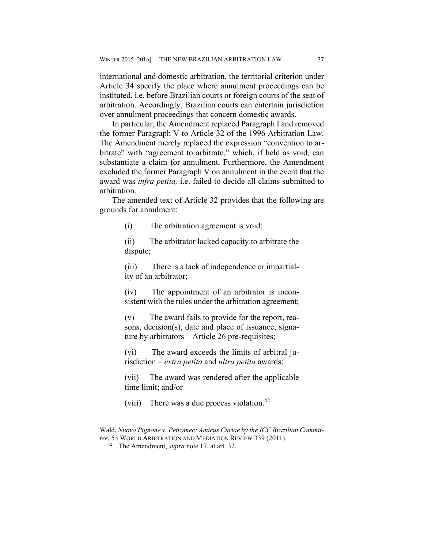international and domestic arbitration, the territorial criterion under Article 34 specify the place where annulment proceedings can be instituted, i.e. before Brazilian courts or foreign courts of the seat of arbitration. Accordingly, Brazilian courts can entertain jurisdiction over annulment proceedings that concern domestic awards.

In particular, the Amendment replaced Paragraph I and removed the former Paragraph V to Article 32 of the 1996 Arbitration Law. The Amendment merely replaced the expression "convention to arbitrate" with "agreement to arbitrate," which, if held as void, can substantiate a claim for annulment. Furthermore, the Amendment excluded the former Paragraph V on annulment in the event that the award was *infra petita,* i.e. failed to decide all claims submitted to arbitration.

The amended text of Article 32 provides that the following are grounds for annulment:

(i) The arbitration agreement is void;

(ii) The arbitrator lacked capacity to arbitrate the dispute;

(iii) There is a lack of independence or impartiality of an arbitrator;

(iv) The appointment of an arbitrator is inconsistent with the rules under the arbitration agreement;

(v) The award fails to provide for the report, reasons, decision(s), date and place of issuance, signature by arbitrators – Article 26 pre-requisites;

(vi) The award exceeds the limits of arbitral jurisdiction – *extra petita* and *ultra petita* awards;

(vii) The award was rendered after the applicable time limit; and/or

(viii) There was a due process violation.<sup>42</sup>

 $\overline{a}$ 

Wald, *Nuovo Pignone v. Petromec: Amicus Curiae by the ICC Brazilian Committee*, 53 WORLD ARBITRATION AND MEDIATION REVIEW 339 (2011). 42 The Amendment, *supra* note 17, at art. 32.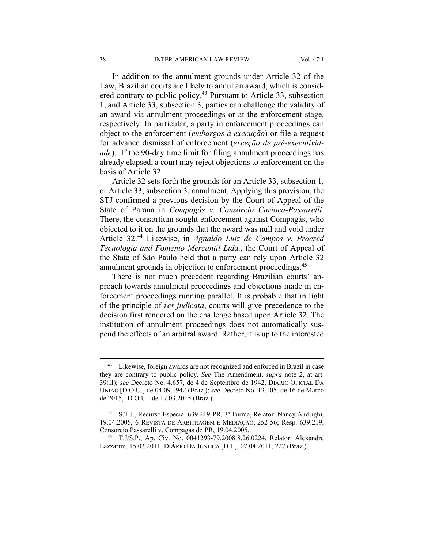In addition to the annulment grounds under Article 32 of the Law, Brazilian courts are likely to annul an award, which is considered contrary to public policy.43 Pursuant to Article 33, subsection 1, and Article 33, subsection 3, parties can challenge the validity of an award via annulment proceedings or at the enforcement stage, respectively. In particular, a party in enforcement proceedings can object to the enforcement (*embargos à execução*) or file a request for advance dismissal of enforcement (*exceção de pré-executividade*). If the 90-day time limit for filing annulment proceedings has already elapsed, a court may reject objections to enforcement on the basis of Article 32.

Article 32 sets forth the grounds for an Article 33, subsection 1, or Article 33, subsection 3, annulment. Applying this provision, the STJ confirmed a previous decision by the Court of Appeal of the State of Parana in *Compagás v. Consórcio Carioca-Passarelli*. There, the consortium sought enforcement against Compagás, who objected to it on the grounds that the award was null and void under Article 32.44 Likewise, in *Agnaldo Luiz de Campos v. Procred Tecnologia and Fomento Mercantil Ltda.*, the Court of Appeal of the State of São Paulo held that a party can rely upon Article 32 annulment grounds in objection to enforcement proceedings.<sup>45</sup>

There is not much precedent regarding Brazilian courts' approach towards annulment proceedings and objections made in enforcement proceedings running parallel. It is probable that in light of the principle of *res judicata*, courts will give precedence to the decision first rendered on the challenge based upon Article 32. The institution of annulment proceedings does not automatically suspend the effects of an arbitral award. Rather, it is up to the interested

<sup>&</sup>lt;sup>43</sup> Likewise, foreign awards are not recognized and enforced in Brazil in case they are contrary to public policy. *See* The Amendment, *supra* note 2, at art. 39(II); *see* Decreto No. 4.657, de 4 de Septembro de 1942, DIÁRIO OFICIAL DA UNIÃO [D.O.U.] de 04.09.1942 (Braz.); *see* Decreto No. 13.105, de 16 de Marco de 2015, [D.O.U.] de 17.03.2015 (Braz.).

<sup>44</sup> S.T.J., Recurso Especial 639.219-PR*,* 3ª Turma, Relator: Nancy Andrighi, 19.04.2005, 6 REVISTA DE ARBITRAGEM E MEDIAÇÃO, 252-56; Resp. 639.219, Consorcio Passarelli v. Compagas do PR, 19.04.2005. 45 T.J/S.P., Ap. Civ. No. 0041293-79.2008.8.26.0224, Relator: Alexandre

Lazzarini, 15.03.2011, DI**Á**RIO DA JUSTICA [D.J.], 07.04.2011, 227 (Braz.).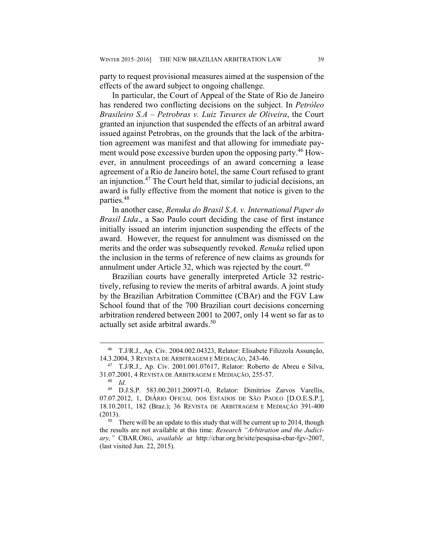party to request provisional measures aimed at the suspension of the effects of the award subject to ongoing challenge.

In particular, the Court of Appeal of the State of Rio de Janeiro has rendered two conflicting decisions on the subject. In *Petróleo Brasileiro S.A – Petrobras v. Luiz Tavares de Oliveira*, the Court granted an injunction that suspended the effects of an arbitral award issued against Petrobras, on the grounds that the lack of the arbitration agreement was manifest and that allowing for immediate payment would pose excessive burden upon the opposing party.<sup>46</sup> However, in annulment proceedings of an award concerning a lease agreement of a Rio de Janeiro hotel, the same Court refused to grant an injunction.47 The Court held that, similar to judicial decisions, an award is fully effective from the moment that notice is given to the parties.48

In another case, *Renuka do Brasil S.A. v. International Paper do Brasil Ltda*., a Sao Paulo court deciding the case of first instance initially issued an interim injunction suspending the effects of the award. However, the request for annulment was dismissed on the merits and the order was subsequently revoked. *Renuka* relied upon the inclusion in the terms of reference of new claims as grounds for annulment under Article 32, which was rejected by the court.<sup>49</sup>

Brazilian courts have generally interpreted Article 32 restrictively, refusing to review the merits of arbitral awards. A joint study by the Brazilian Arbitration Committee (CBAr) and the FGV Law School found that of the 700 Brazilian court decisions concerning arbitration rendered between 2001 to 2007, only 14 went so far as to actually set aside arbitral awards.<sup>50</sup>

 <sup>46</sup> T.J/R.J., Ap. Civ. 2004.002.04323, Relator: Elisabete Filizzola Assunção, 14.3.2004, 3 REVISTA DE ARBITRAGEM E MEDIAÇÃO, 243-46. 47 T.J/R.J., Ap. Civ. 2001.001.07617, Relator: Roberto de Abreu e Silva,

<sup>31.07.2001, 4</sup> REVISTA DE ARBITRAGEM E MEDIAÇÃO, 255-57. 48 *Id.* 

<sup>49</sup> D.J.S.P. 583.00.2011.200971-0, Relator: Dimitrios Zarvos Varellis, 07.07.2012, 1, DIÁRIO OFICIAL DOS ESTADOS DE SÃO PAOLO [D.O.E.S.P.], 18.10.2011, 182 (Braz.); 36 REVISTA DE ARBITRAGEM E MEDIAÇÃO 391-400 (2013).<br> $\frac{50}{10}$  There will be an update to this study that will be current up to 2014, though

the results are not available at this time. *Research "Arbitration and the Judiciary,"* CBAR.ORG, *available at* http://cbar.org.br/site/pesquisa-cbar-fgv-2007, (last visited Jun. 22, 2015).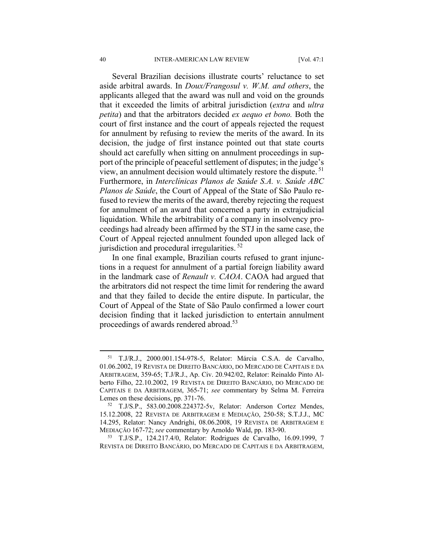Several Brazilian decisions illustrate courts' reluctance to set aside arbitral awards. In *Doux/Frangosul v. W.M. and others*, the applicants alleged that the award was null and void on the grounds that it exceeded the limits of arbitral jurisdiction (*extra* and *ultra petita*) and that the arbitrators decided *ex aequo et bono.* Both the court of first instance and the court of appeals rejected the request for annulment by refusing to review the merits of the award. In its decision, the judge of first instance pointed out that state courts should act carefully when sitting on annulment proceedings in support of the principle of peaceful settlement of disputes; in the judge's view, an annulment decision would ultimately restore the dispute. 51 Furthermore, in *Interclínicas Planos de Saúde S.A. v. Saúde ABC Planos de Saúde*, the Court of Appeal of the State of São Paulo refused to review the merits of the award, thereby rejecting the request for annulment of an award that concerned a party in extrajudicial liquidation. While the arbitrability of a company in insolvency proceedings had already been affirmed by the STJ in the same case, the Court of Appeal rejected annulment founded upon alleged lack of jurisdiction and procedural irregularities.<sup>52</sup>

In one final example, Brazilian courts refused to grant injunctions in a request for annulment of a partial foreign liability award in the landmark case of *Renault v. CAOA*. CAOA had argued that the arbitrators did not respect the time limit for rendering the award and that they failed to decide the entire dispute. In particular, the Court of Appeal of the State of São Paulo confirmed a lower court decision finding that it lacked jurisdiction to entertain annulment proceedings of awards rendered abroad.<sup>53</sup>

REVISTA DE DIREITO BANCÁRIO, DO MERCADO DE CAPITAIS E DA ARBITRAGEM,

 <sup>51</sup> T.J/R.J., 2000.001.154-978-5, Relator: Márcia C.S.A. de Carvalho, 01.06.2002, 19 REVISTA DE DIREITO BANCÁRIO, DO MERCADO DE CAPITAIS E DA ARBITRAGEM, 359-65; T.J/R.J., Ap. Civ. 20.942/02, Relator: Reinaldo Pinto Alberto Filho, 22.10.2002, 19 REVISTA DE DIREITO BANCÁRIO, DO MERCADO DE CAPITAIS E DA ARBITRAGEM, 365-71; *see* commentary by Selma M. Ferreira Lemes on these decisions, pp. 371-76.<br><sup>52</sup> T.J/S.P., 583.00.2008.224372-5v, Relator: Anderson Cortez Mendes,

<sup>15.12.2008, 22</sup> REVISTA DE ARBITRAGEM E MEDIAÇÃO, 250-58; S.T.J.J., MC 14.295, Relator: Nancy Andrighi, 08.06.2008, 19 REVISTA DE ARBITRAGEM E MEDIAÇÃO 167-72; *see* commentary by Arnoldo Wald, pp. 183-90. 53 T.J/S.P., 124.217.4/0, Relator: Rodrigues de Carvalho, 16.09.1999, 7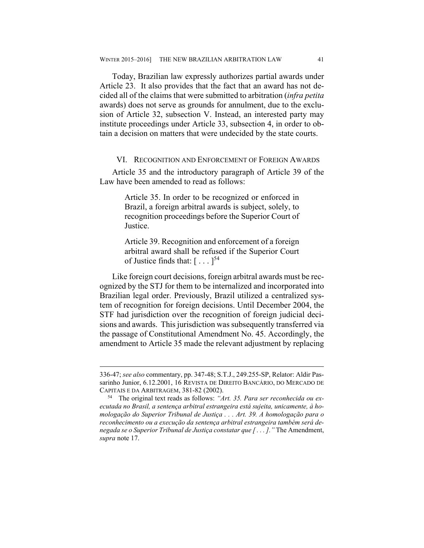Today, Brazilian law expressly authorizes partial awards under Article 23. It also provides that the fact that an award has not decided all of the claims that were submitted to arbitration (*infra petita*  awards) does not serve as grounds for annulment, due to the exclusion of Article 32, subsection V. Instead, an interested party may institute proceedings under Article 33, subsection 4, in order to obtain a decision on matters that were undecided by the state courts.

#### VI. RECOGNITION AND ENFORCEMENT OF FOREIGN AWARDS

Article 35 and the introductory paragraph of Article 39 of the Law have been amended to read as follows:

> Article 35. In order to be recognized or enforced in Brazil, a foreign arbitral awards is subject, solely, to recognition proceedings before the Superior Court of Justice.

> Article 39. Recognition and enforcement of a foreign arbitral award shall be refused if the Superior Court of Justice finds that:  $[\dots]^{54}$

Like foreign court decisions, foreign arbitral awards must be recognized by the STJ for them to be internalized and incorporated into Brazilian legal order. Previously, Brazil utilized a centralized system of recognition for foreign decisions. Until December 2004, the STF had jurisdiction over the recognition of foreign judicial decisions and awards. This jurisdiction was subsequently transferred via the passage of Constitutional Amendment No. 45. Accordingly, the amendment to Article 35 made the relevant adjustment by replacing

 $\overline{a}$ 

<sup>336-47;</sup> *see also* commentary, pp. 347-48; S.T.J., 249.255-SP, Relator: Aldir Passarinho Junior, 6.12.2001, 16 REVISTA DE DIREITO BANCÁRIO, DO MERCADO DE CAPITAIS E DA ARBITRAGEM, 381-82 (2002). 54 The original text reads as follows: *"Art. 35. Para ser reconhecida ou ex-*

*ecutada no Brasil, a sentença arbitral estrangeira está sujeita, unicamente, à homologação do Superior Tribunal de Justiça . . . Art. 39. A homologação para o reconhecimento ou a execução da sentença arbitral estrangeira também será denegada se o Superior Tribunal de Justiça constatar que [ . . . ]."* The Amendment, *supra* note 17.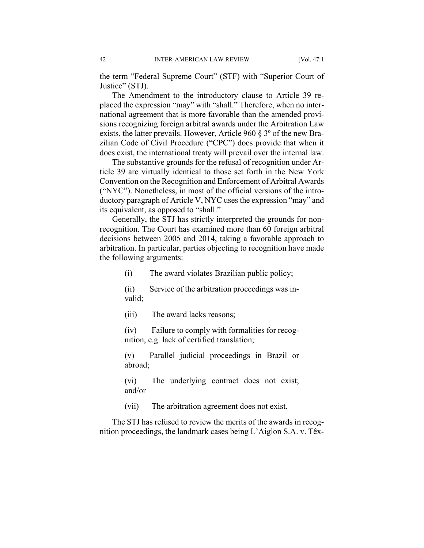the term "Federal Supreme Court" (STF) with "Superior Court of Justice" (STJ).

The Amendment to the introductory clause to Article 39 replaced the expression "may" with "shall." Therefore, when no international agreement that is more favorable than the amended provisions recognizing foreign arbitral awards under the Arbitration Law exists, the latter prevails. However, Article 960 § 3º of the new Brazilian Code of Civil Procedure ("CPC") does provide that when it does exist, the international treaty will prevail over the internal law.

The substantive grounds for the refusal of recognition under Article 39 are virtually identical to those set forth in the New York Convention on the Recognition and Enforcement of Arbitral Awards ("NYC"). Nonetheless, in most of the official versions of the introductory paragraph of Article V, NYC uses the expression "may" and its equivalent, as opposed to "shall."

Generally, the STJ has strictly interpreted the grounds for nonrecognition. The Court has examined more than 60 foreign arbitral decisions between 2005 and 2014, taking a favorable approach to arbitration. In particular, parties objecting to recognition have made the following arguments:

(i) The award violates Brazilian public policy;

(ii) Service of the arbitration proceedings was invalid;

(iii) The award lacks reasons;

(iv) Failure to comply with formalities for recognition, e.g. lack of certified translation;

(v) Parallel judicial proceedings in Brazil or abroad;

(vi) The underlying contract does not exist; and/or

(vii) The arbitration agreement does not exist.

The STJ has refused to review the merits of the awards in recognition proceedings, the landmark cases being L'Aiglon S.A. v. Têx-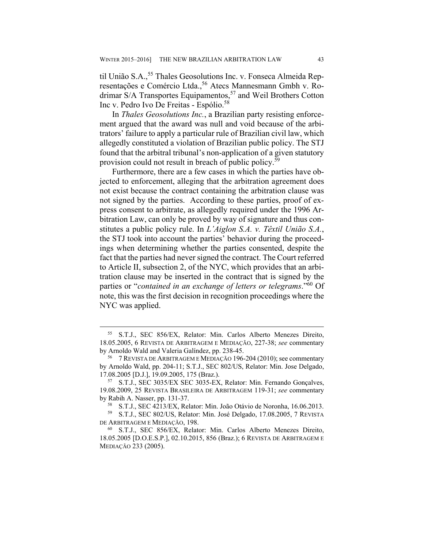til União S.A.,<sup>55</sup> Thales Geosolutions Inc. v. Fonseca Almeida Representações e Comércio Ltda.,<sup>56</sup> Atecs Mannesmann Gmbh v. Rodrimar S/A Transportes Equipamentos,<sup>57</sup> and Weil Brothers Cotton Inc v. Pedro Ivo De Freitas - Espólio.<sup>58</sup>

In *Thales Geosolutions Inc.*, a Brazilian party resisting enforcement argued that the award was null and void because of the arbitrators' failure to apply a particular rule of Brazilian civil law, which allegedly constituted a violation of Brazilian public policy. The STJ found that the arbitral tribunal's non-application of a given statutory provision could not result in breach of public policy.59

Furthermore, there are a few cases in which the parties have objected to enforcement, alleging that the arbitration agreement does not exist because the contract containing the arbitration clause was not signed by the parties. According to these parties, proof of express consent to arbitrate, as allegedly required under the 1996 Arbitration Law, can only be proved by way of signature and thus constitutes a public policy rule. In *L'Aiglon S.A. v. Têxtil União S.A.*, the STJ took into account the parties' behavior during the proceedings when determining whether the parties consented, despite the fact that the parties had never signed the contract. The Court referred to Article II, subsection 2, of the NYC, which provides that an arbitration clause may be inserted in the contract that is signed by the parties or "*contained in an exchange of letters or telegrams*."60 Of note, this was the first decision in recognition proceedings where the NYC was applied.

 <sup>55</sup> S.T.J., SEC 856/EX, Relator: Min. Carlos Alberto Menezes Direito, 18.05.2005, 6 REVISTA DE ARBITRAGEM E MEDIAÇÃO, 227-38; *see* commentary by Arnoldo Wald and Valeria Galíndez, pp. 238-45.<br><sup>56</sup> 7 REVISTA DE ARBITRAGEM E MEDIAÇÃO 196-204 (2010); see commentary

by Arnoldo Wald, pp. 204-11; S.T.J., SEC 802/US, Relator: Min. Jose Delgado, 17.08.2005 [D.J.], 19.09.2005, 175 (Braz.).<br><sup>57</sup> S.T.J., SEC 3035/EX SEC 3035-EX, Relator: Min. Fernando Gonçalves,

<sup>19.08.2009, 25</sup> REVISTA BRASILEIRA DE ARBITRAGEM 119-31; *see* commentary

by Rabih A. Nasser, pp. 131-37.<br><sup>58</sup> S.T.J., SEC 4213/EX, Relator: Min. João Otávio de Noronha, 16.06.2013.<br><sup>59</sup> S.T.J., SEC 802/US, Relator: Min. José Delgado, 17.08.2005, 7 REVISTA DE ARBITRAGEM E MEDIAÇÃO, 198.<br><sup>60</sup> S.T.J., SEC 856/EX, Relator: Min. Carlos Alberto Menezes Direito,

<sup>18.05.2005 [</sup>D.O.E.S.P.], 02.10.2015, 856 (Braz.); 6 REVISTA DE ARBITRAGEM E MEDIAÇÃO 233 (2005).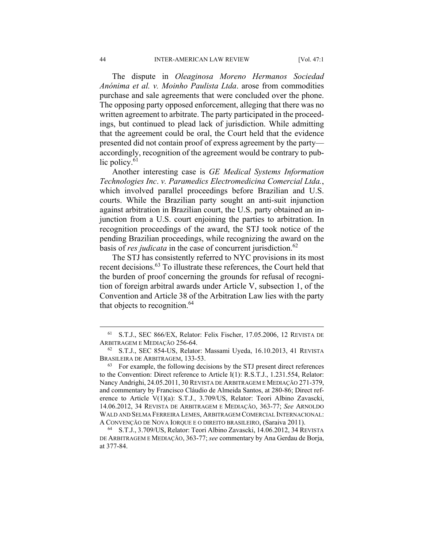The dispute in *Oleaginosa Moreno Hermanos Sociedad Anónima et al. v. Moinho Paulista Ltda*. arose from commodities purchase and sale agreements that were concluded over the phone. The opposing party opposed enforcement, alleging that there was no written agreement to arbitrate. The party participated in the proceedings, but continued to plead lack of jurisdiction. While admitting that the agreement could be oral, the Court held that the evidence presented did not contain proof of express agreement by the party accordingly, recognition of the agreement would be contrary to public policy.<sup>61</sup>

Another interesting case is *GE Medical Systems Information Technologies Inc*. *v. Paramedics Electromedicina Comercial Ltda.*, which involved parallel proceedings before Brazilian and U.S. courts. While the Brazilian party sought an anti-suit injunction against arbitration in Brazilian court, the U.S. party obtained an injunction from a U.S. court enjoining the parties to arbitration. In recognition proceedings of the award, the STJ took notice of the pending Brazilian proceedings, while recognizing the award on the basis of *res judicata* in the case of concurrent jurisdiction.<sup>62</sup>

The STJ has consistently referred to NYC provisions in its most recent decisions.63 To illustrate these references, the Court held that the burden of proof concerning the grounds for refusal of recognition of foreign arbitral awards under Article V, subsection 1, of the Convention and Article 38 of the Arbitration Law lies with the party that objects to recognition.<sup>64</sup>

 <sup>61</sup> S.T.J., SEC 866/EX, Relator: Felix Fischer, 17.05.2006, 12 REVISTA DE ARBITRAGEM E MEDIAÇÃO 256-64. 62 S.T.J., SEC 854-US, Relator: Massami Uyeda, 16.10.2013, 41 REVISTA

BRASILEIRA DE ARBITRAGEM, 133-53.<br><sup>63</sup> For example, the following decisions by the STJ present direct references

to the Convention: Direct reference to Article I(1): R.S.T.J., 1.231.554, Relator: Nancy Andrighi, 24.05.2011, 30 REVISTA DE ARBITRAGEM E MEDIAÇÃO 271-379, and commentary by Francisco Cláudio de Almeida Santos, at 280-86; Direct reference to Article V(1)(a): S.T.J., 3.709/US, Relator: Teori Albino Zavascki, 14.06.2012, 34 REVISTA DE ARBITRAGEM E MEDIAÇÃO, 363-77; *See* ARNOLDO WALD AND SELMA FERREIRA LEMES, ARBITRAGEM COMERCIAL INTERNACIONAL:<br>A CONVENÇÃO DE NOVA IORQUE E O DIREITO BRASILEIRO, (Saraiva 2011).

<sup>&</sup>lt;sup>64</sup> S.T.J., 3.709/US, Relator: Teori Albino Zavascki, 14.06.2012, 34 REVISTA DE ARBITRAGEM E MEDIAÇÃO, 363-77; *see* commentary by Ana Gerdau de Borja, at 377-84.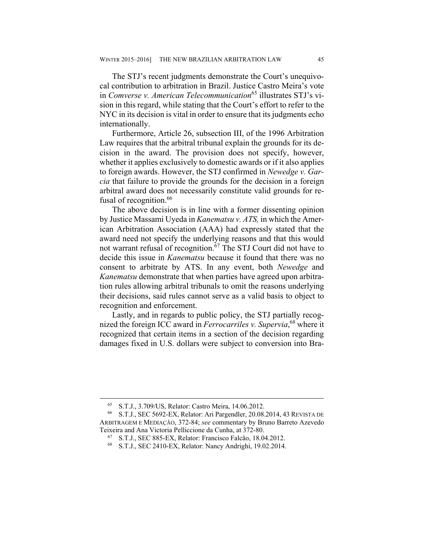The STJ's recent judgments demonstrate the Court's unequivocal contribution to arbitration in Brazil. Justice Castro Meira's vote in *Comverse v. American Telecommunication*65 illustrates STJ's vision in this regard, while stating that the Court's effort to refer to the NYC in its decision is vital in order to ensure that its judgments echo internationally.

Furthermore, Article 26, subsection III, of the 1996 Arbitration Law requires that the arbitral tribunal explain the grounds for its decision in the award. The provision does not specify, however, whether it applies exclusively to domestic awards or if it also applies to foreign awards. However, the STJ confirmed in *Newedge v. Garcia* that failure to provide the grounds for the decision in a foreign arbitral award does not necessarily constitute valid grounds for refusal of recognition.<sup>66</sup>

The above decision is in line with a former dissenting opinion by Justice Massami Uyeda in *Kanematsu v. ATS,* in which the American Arbitration Association (AAA) had expressly stated that the award need not specify the underlying reasons and that this would not warrant refusal of recognition.<sup>67</sup> The STJ Court did not have to decide this issue in *Kanematsu* because it found that there was no consent to arbitrate by ATS. In any event, both *Newedge* and *Kanematsu* demonstrate that when parties have agreed upon arbitration rules allowing arbitral tribunals to omit the reasons underlying their decisions, said rules cannot serve as a valid basis to object to recognition and enforcement.

Lastly, and in regards to public policy, the STJ partially recognized the foreign ICC award in *Ferrocarriles v. Supervia*, 68 where it recognized that certain items in a section of the decision regarding damages fixed in U.S. dollars were subject to conversion into Bra-

<sup>&</sup>lt;sup>65</sup> S.T.J., 3.709/US, Relator: Castro Meira, 14.06.2012.<br><sup>66</sup> S.T.L. SEC 5692-EX. Relator: Ari Pargendler 20.08

<sup>66</sup> S.T.J., SEC 5692-EX, Relator: Ari Pargendler, 20.08.2014, 43 REVISTA DE ARBITRAGEM E MEDIAÇÃO, 372-84; *see* commentary by Bruno Barreto Azevedo Teixeira and Ana Victoria Pelliccione da Cunha, at 372-80. 67 S.T.J., SEC 885-EX, Relator: Francisco Falcão, 18.04.2012.

<sup>68</sup> S.T.J., SEC 2410-EX, Relator: Nancy Andrighi, 19.02.2014.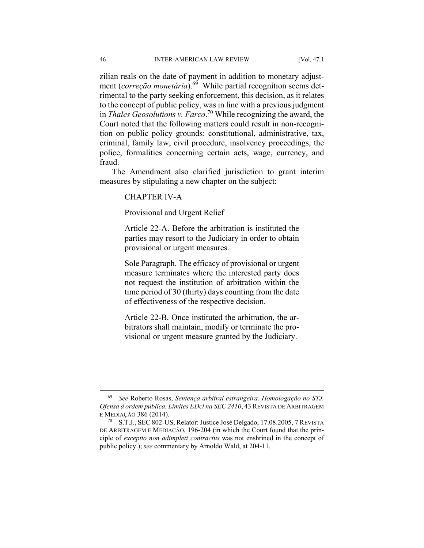zilian reals on the date of payment in addition to monetary adjustment (*correção monetária*).<sup>69</sup> While partial recognition seems detrimental to the party seeking enforcement, this decision, as it relates to the concept of public policy, was in line with a previous judgment in *Thales Geosolutions v. Farco*. 70 While recognizing the award, the Court noted that the following matters could result in non-recognition on public policy grounds: constitutional, administrative, tax, criminal, family law, civil procedure, insolvency proceedings, the police, formalities concerning certain acts, wage, currency, and fraud.

The Amendment also clarified jurisdiction to grant interim measures by stipulating a new chapter on the subject:

CHAPTER IV-A

Provisional and Urgent Relief

Article 22-A. Before the arbitration is instituted the parties may resort to the Judiciary in order to obtain provisional or urgent measures.

Sole Paragraph. The efficacy of provisional or urgent measure terminates where the interested party does not request the institution of arbitration within the time period of 30 (thirty) days counting from the date of effectiveness of the respective decision.

Article 22-B. Once instituted the arbitration, the arbitrators shall maintain, modify or terminate the provisional or urgent measure granted by the Judiciary.

 <sup>69</sup> *See* Roberto Rosas, *Sentença arbitral estrangeira. Homologação no STJ. Ofensa à ordem pública. Limites EDcl na SEC 2410*, 43 REVISTA DE ARBITRAGEM E MEDIAÇÃO 386 (2014).<br><sup>70</sup> S.T.J., SEC 802-US, Relator: Justice José Delgado, 17.08.2005, 7 REVISTA

DE ARBITRAGEM E MEDIAÇÃO, 196-204 (in which the Court found that the principle of *exceptio non adimpleti contractus* was not enshrined in the concept of public policy.); *see* commentary by Arnoldo Wald, at 204-11.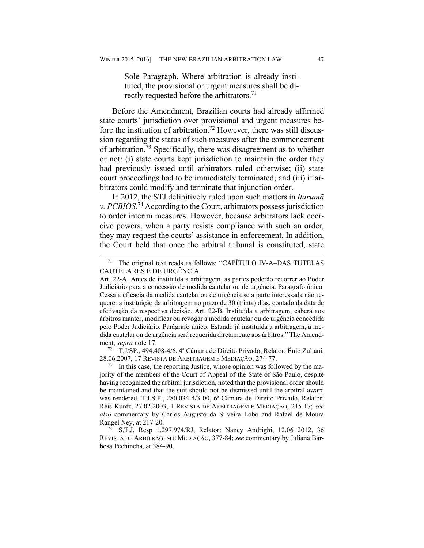Sole Paragraph. Where arbitration is already instituted, the provisional or urgent measures shall be directly requested before the arbitrators.<sup>71</sup>

Before the Amendment, Brazilian courts had already affirmed state courts' jurisdiction over provisional and urgent measures before the institution of arbitration.<sup>72</sup> However, there was still discussion regarding the status of such measures after the commencement of arbitration.73 Specifically, there was disagreement as to whether or not: (i) state courts kept jurisdiction to maintain the order they had previously issued until arbitrators ruled otherwise; (ii) state court proceedings had to be immediately terminated; and (iii) if arbitrators could modify and terminate that injunction order.

In 2012, the STJ definitively ruled upon such matters in *Itarumã v. PCBIOS*. 74 According to the Court, arbitrators possess jurisdiction to order interim measures. However, because arbitrators lack coercive powers, when a party resists compliance with such an order, they may request the courts' assistance in enforcement. In addition, the Court held that once the arbitral tribunal is constituted, state

28.06.2007, 17 REVISTA DE ARBITRAGEM E MEDIAÇÃO, 274-77.<br><sup>73</sup> In this case, the reporting Justice, whose opinion was followed by the ma-

jority of the members of the Court of Appeal of the State of São Paulo, despite having recognized the arbitral jurisdiction, noted that the provisional order should be maintained and that the suit should not be dismissed until the arbitral award was rendered. T.J.S.P., 280.034-4/3-00, 6ª Câmara de Direito Privado, Relator: Reis Kuntz, 27.02.2003, 1 REVISTA DE ARBITRAGEM E MEDIAÇÃO, 215-17; *see also* commentary by Carlos Augusto da Silveira Lobo and Rafael de Moura Rangel Ney, at 217-20.<br><sup>74</sup> S.T.J, Resp 1.297.974/RJ, Relator: Nancy Andrighi, 12.06 2012, 36

 <sup>71</sup> The original text reads as follows: "CAPÍTULO IV-A–DAS TUTELAS CAUTELARES E DE URGÊNCIA

Art. 22-A. Antes de instituída a arbitragem, as partes poderão recorrer ao Poder Judiciário para a concessão de medida cautelar ou de urgência. Parágrafo único. Cessa a eficácia da medida cautelar ou de urgência se a parte interessada não requerer a instituição da arbitragem no prazo de 30 (trinta) dias, contado da data de efetivação da respectiva decisão. Art. 22-B. Instituída a arbitragem, caberá aos árbitros manter, modificar ou revogar a medida cautelar ou de urgência concedida pelo Poder Judiciário. Parágrafo único. Estando já instituída a arbitragem, a medida cautelar ou de urgência será requerida diretamente aos árbitros." The Amendment, *supra* note 17.<br><sup>72</sup> T.J/SP., 494.408-4/6, 4<sup>ª</sup> Câmara de Direito Privado, Relator: Ênio Zuliani,

REVISTA DE ARBITRAGEM E MEDIAÇÃO, 377-84; *see* commentary by Juliana Barbosa Pechincha, at 384-90.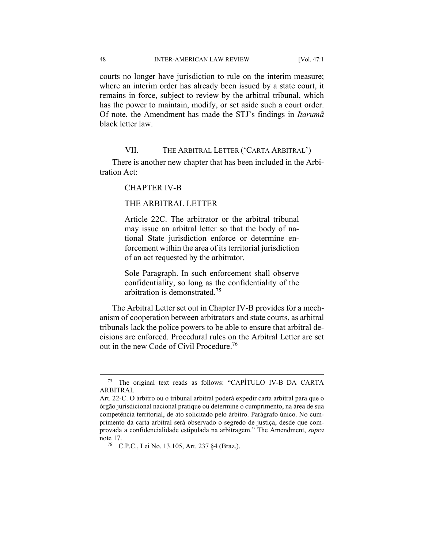courts no longer have jurisdiction to rule on the interim measure; where an interim order has already been issued by a state court, it remains in force, subject to review by the arbitral tribunal, which has the power to maintain, modify, or set aside such a court order. Of note, the Amendment has made the STJ's findings in *Itarumã*  black letter law.

#### VII. THE ARBITRAL LETTER ('CARTA ARBITRAL')

There is another new chapter that has been included in the Arbitration Act:

CHAPTER IV-B

#### THE ARBITRAL LETTER

Article 22C. The arbitrator or the arbitral tribunal may issue an arbitral letter so that the body of national State jurisdiction enforce or determine enforcement within the area of its territorial jurisdiction of an act requested by the arbitrator.

Sole Paragraph. In such enforcement shall observe confidentiality, so long as the confidentiality of the arbitration is demonstrated.75

The Arbitral Letter set out in Chapter IV-B provides for a mechanism of cooperation between arbitrators and state courts, as arbitral tribunals lack the police powers to be able to ensure that arbitral decisions are enforced. Procedural rules on the Arbitral Letter are set out in the new Code of Civil Procedure.76

 <sup>75</sup> The original text reads as follows: "CAPÍTULO IV-B–DA CARTA ARBITRAL

Art. 22-C. O árbitro ou o tribunal arbitral poderá expedir carta arbitral para que o órgão jurisdicional nacional pratique ou determine o cumprimento, na área de sua competência territorial, de ato solicitado pelo árbitro. Parágrafo único. No cumprimento da carta arbitral será observado o segredo de justiça, desde que comprovada a confidencialidade estipulada na arbitragem." The Amendment, *supra*  note 17.<br><sup>76</sup> C.P.C., Lei No. 13.105, Art. 237 §4 (Braz.).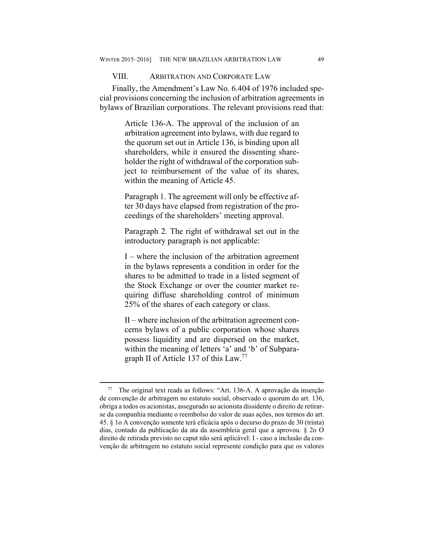#### VIII. ARBITRATION AND CORPORATE LAW

Finally, the Amendment's Law No. 6.404 of 1976 included special provisions concerning the inclusion of arbitration agreements in bylaws of Brazilian corporations. The relevant provisions read that:

> Article 136-A. The approval of the inclusion of an arbitration agreement into bylaws, with due regard to the quorum set out in Article 136, is binding upon all shareholders, while it ensured the dissenting shareholder the right of withdrawal of the corporation subject to reimbursement of the value of its shares, within the meaning of Article 45.

> Paragraph 1. The agreement will only be effective after 30 days have elapsed from registration of the proceedings of the shareholders' meeting approval.

> Paragraph 2. The right of withdrawal set out in the introductory paragraph is not applicable:

> I – where the inclusion of the arbitration agreement in the bylaws represents a condition in order for the shares to be admitted to trade in a listed segment of the Stock Exchange or over the counter market requiring diffuse shareholding control of minimum 25% of the shares of each category or class.

> II – where inclusion of the arbitration agreement concerns bylaws of a public corporation whose shares possess liquidity and are dispersed on the market, within the meaning of letters 'a' and 'b' of Subparagraph II of Article 137 of this Law.<sup>77</sup>

 <sup>77</sup> The original text reads as follows: "Art. 136-A. A aprovação da inserção de convenção de arbitragem no estatuto social, observado o quorum do art. 136, obriga a todos os acionistas, assegurado ao acionista dissidente o direito de retirarse da companhia mediante o reembolso do valor de suas ações, nos termos do art. 45. § 1o A convenção somente terá eficácia após o decurso do prazo de 30 (trinta) dias, contado da publicação da ata da assembleia geral que a aprovou. § 2o O direito de retirada previsto no caput não será aplicável: I - caso a inclusão da convenção de arbitragem no estatuto social represente condição para que os valores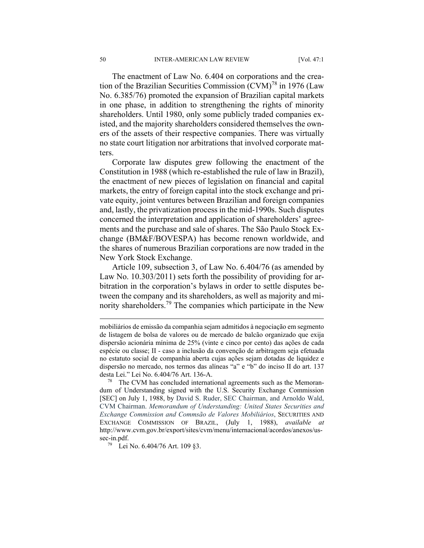The enactment of Law No. 6.404 on corporations and the creation of the Brazilian Securities Commission  $(CVM)^{78}$  in 1976 (Law No. 6.385/76) promoted the expansion of Brazilian capital markets in one phase, in addition to strengthening the rights of minority shareholders. Until 1980, only some publicly traded companies existed, and the majority shareholders considered themselves the owners of the assets of their respective companies. There was virtually no state court litigation nor arbitrations that involved corporate matters.

Corporate law disputes grew following the enactment of the Constitution in 1988 (which re-established the rule of law in Brazil), the enactment of new pieces of legislation on financial and capital markets, the entry of foreign capital into the stock exchange and private equity, joint ventures between Brazilian and foreign companies and, lastly, the privatization process in the mid-1990s. Such disputes concerned the interpretation and application of shareholders' agreements and the purchase and sale of shares. The São Paulo Stock Exchange (BM&F/BOVESPA) has become renown worldwide, and the shares of numerous Brazilian corporations are now traded in the New York Stock Exchange.

Article 109, subsection 3, of Law No. 6.404/76 (as amended by Law No. 10.303/2011) sets forth the possibility of providing for arbitration in the corporation's bylaws in order to settle disputes between the company and its shareholders, as well as majority and minority shareholders.79 The companies which participate in the New

1

mobiliários de emissão da companhia sejam admitidos à negociação em segmento de listagem de bolsa de valores ou de mercado de balcão organizado que exija dispersão acionária mínima de 25% (vinte e cinco por cento) das ações de cada espécie ou classe; II - caso a inclusão da convenção de arbitragem seja efetuada no estatuto social de companhia aberta cujas ações sejam dotadas de liquidez e dispersão no mercado, nos termos das alíneas "a" e "b" do inciso II do art. 137 desta Lei." Lei No. 6.404/76 Art. 136-A.<br><sup>78</sup> The CVM has concluded international agreements such as the Memoran-

dum of Understanding signed with the U.S. Security Exchange Commission [SEC] on July 1, 1988, by David S. Ruder, SEC Chairman, and Arnoldo Wald, CVM Chairman. *Memorandum of Understanding: United States Securities and Exchange Commission and Commsão de Valores Mobiliários*, SECURITIES AND EXCHANGE COMMISSION OF BRAZIL, (July 1, 1988), *available at* http://www.cvm.gov.br/export/sites/cvm/menu/internacional/acordos/anexos/ussec-in.pdf.<br><sup>79</sup> Lei No. 6.404/76 Art. 109 §3.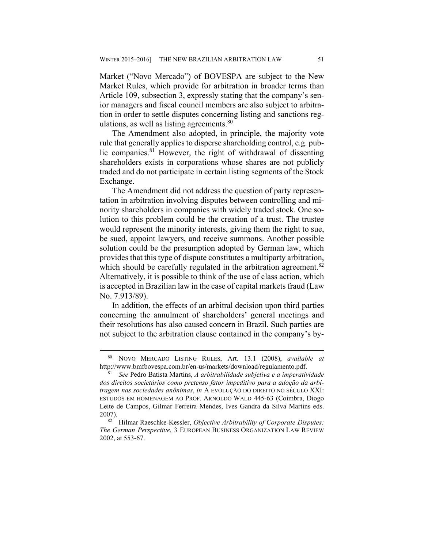Market ("Novo Mercado") of BOVESPA are subject to the New Market Rules, which provide for arbitration in broader terms than Article 109, subsection 3, expressly stating that the company's senior managers and fiscal council members are also subject to arbitration in order to settle disputes concerning listing and sanctions regulations, as well as listing agreements. $80$ 

The Amendment also adopted, in principle, the majority vote rule that generally applies to disperse shareholding control, e.g. public companies.<sup>81</sup> However, the right of withdrawal of dissenting shareholders exists in corporations whose shares are not publicly traded and do not participate in certain listing segments of the Stock Exchange.

The Amendment did not address the question of party representation in arbitration involving disputes between controlling and minority shareholders in companies with widely traded stock. One solution to this problem could be the creation of a trust. The trustee would represent the minority interests, giving them the right to sue, be sued, appoint lawyers, and receive summons. Another possible solution could be the presumption adopted by German law, which provides that this type of dispute constitutes a multiparty arbitration, which should be carefully regulated in the arbitration agreement.<sup>82</sup> Alternatively, it is possible to think of the use of class action, which is accepted in Brazilian law in the case of capital markets fraud (Law No. 7.913/89).

In addition, the effects of an arbitral decision upon third parties concerning the annulment of shareholders' general meetings and their resolutions has also caused concern in Brazil. Such parties are not subject to the arbitration clause contained in the company's by-

 <sup>80</sup> NOVO MERCADO LISTING RULES, Art. 13.1 (2008), *available at* http://www.bmfbovespa.com.br/en-us/markets/download/regulamento.pdf. 81 *See* Pedro Batista Martins, *A arbitrabilidade subjetiva e a imperatividade* 

*dos direitos societários como pretenso fator impeditivo para a adoção da arbitragem nas sociedades anônimas*, *in* A EVOLUÇÃO DO DIREITO NO SÉCULO XXI: ESTUDOS EM HOMENAGEM AO PROF. ARNOLDO WALD 445-63 (Coimbra, Diogo Leite de Campos, Gilmar Ferreira Mendes, Ives Gandra da Silva Martins eds. 2007). 82 Hilmar Raeschke-Kessler, *Objective Arbitrability of Corporate Disputes:* 

*The German Perspective*, 3 EUROPEAN BUSINESS ORGANIZATION LAW REVIEW 2002, at 553-67.